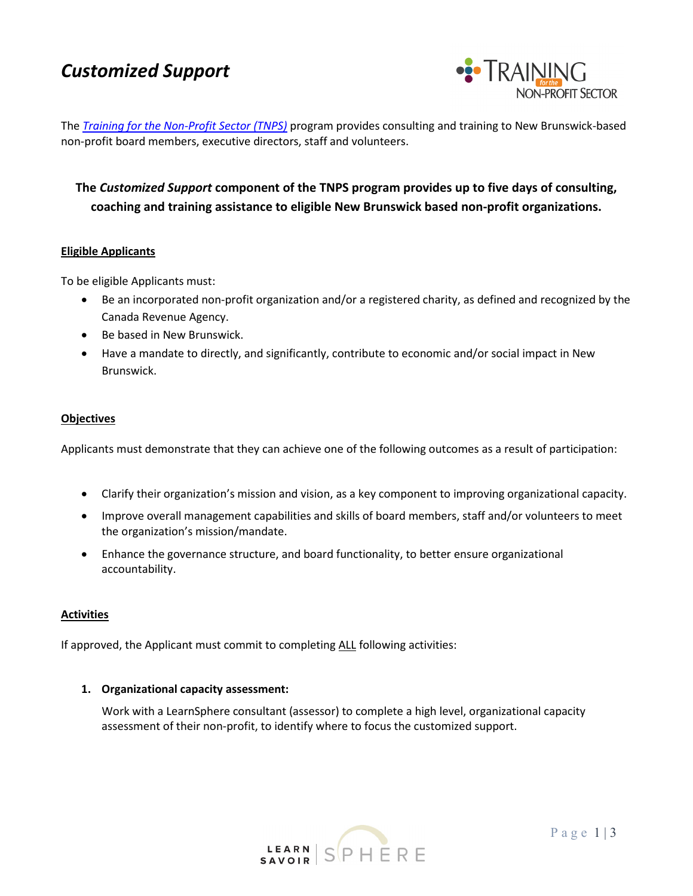# *Customized Support*



The *[Training for the Non-Profit Sector](http://www.learnsphere.ca/nonprofit) (TNPS)* program provides consulting and training to New Brunswick-based non-profit board members, executive directors, staff and volunteers.

# **The** *Customized Support* **component of the TNPS program provides up to five days of consulting, coaching and training assistance to eligible New Brunswick based non-profit organizations.**

#### **Eligible Applicants**

To be eligible Applicants must:

- Be an incorporated non-profit organization and/or a registered charity, as defined and recognized by the Canada Revenue Agency.
- Be based in New Brunswick.
- Have a mandate to directly, and significantly, contribute to economic and/or social impact in New Brunswick.

#### **Objectives**

Applicants must demonstrate that they can achieve one of the following outcomes as a result of participation:

- Clarify their organization's mission and vision, as a key component to improving organizational capacity.
- Improve overall management capabilities and skills of board members, staff and/or volunteers to meet the organization's mission/mandate.
- Enhance the governance structure, and board functionality, to better ensure organizational accountability.

#### **Activities**

If approved, the Applicant must commit to completing ALL following activities:

#### **1. Organizational capacity assessment:**

Work with a LearnSphere consultant (assessor) to complete a high level, organizational capacity assessment of their non-profit, to identify where to focus the customized support.

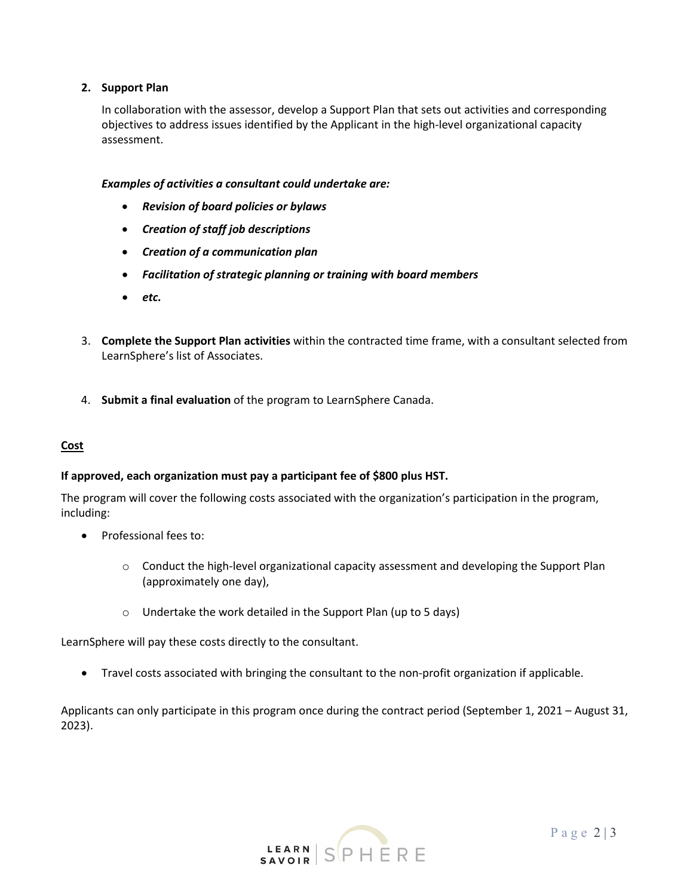# **2. Support Plan**

In collaboration with the assessor, develop a Support Plan that sets out activities and corresponding objectives to address issues identified by the Applicant in the high-level organizational capacity assessment.

# *Examples of activities a consultant could undertake are:*

- *Revision of board policies or bylaws*
- *Creation of staff job descriptions*
- *Creation of a communication plan*
- *Facilitation of strategic planning or training with board members*
- *etc.*
- 3. **Complete the Support Plan activities** within the contracted time frame, with a consultant selected from LearnSphere's list of Associates.
- 4. **Submit a final evaluation** of the program to LearnSphere Canada.

# **Cost**

#### **If approved, each organization must pay a participant fee of \$800 plus HST.**

The program will cover the following costs associated with the organization's participation in the program, including:

- Professional fees to:
	- o Conduct the high-level organizational capacity assessment and developing the Support Plan (approximately one day),
	- o Undertake the work detailed in the Support Plan (up to 5 days)

LearnSphere will pay these costs directly to the consultant.

• Travel costs associated with bringing the consultant to the non-profit organization if applicable.

Applicants can only participate in this program once during the contract period (September 1, 2021 – August 31, 2023).